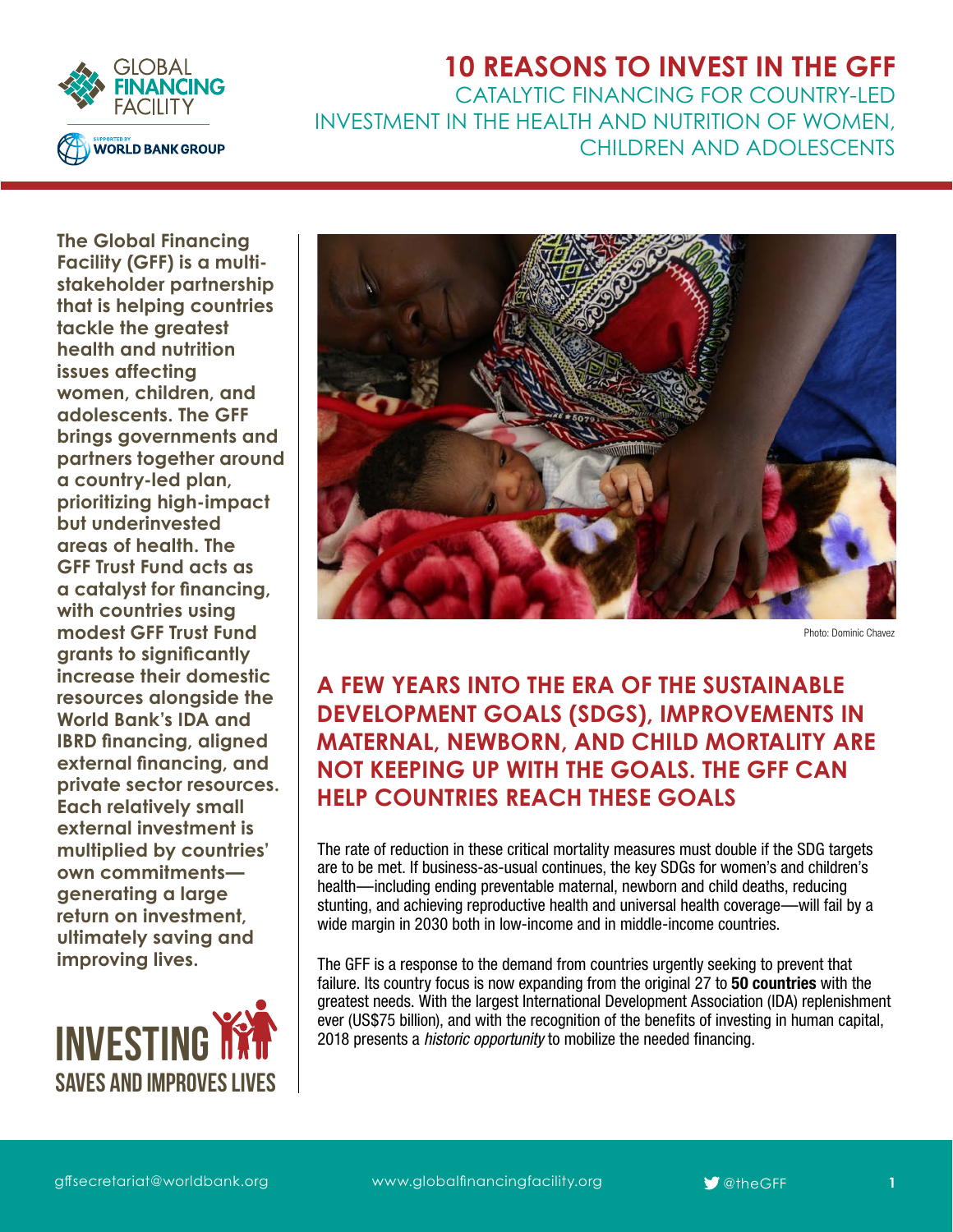

## **10 REASONS TO INVEST IN THE GFF** CATALYTIC FINANCING FOR COUNTRY-LED INVESTMENT IN THE HEALTH AND NUTRITION OF WOMEN, CHILDREN AND ADOLESCENTS

**The Global Financing Facility (GFF) is a multistakeholder partnership that is helping countries tackle the greatest health and nutrition issues affecting women, children, and adolescents. The GFF brings governments and partners together around a country-led plan, prioritizing high-impact but underinvested areas of health. The GFF Trust Fund acts as a catalyst for financing, with countries using modest GFF Trust Fund grants to significantly increase their domestic resources alongside the World Bank's IDA and IBRD financing, aligned external financing, and private sector resources. Each relatively small external investment is multiplied by countries' own commitments generating a large return on investment, ultimately saving and improving lives.** 





Photo: Dominic Chavez

# **A FEW YEARS INTO THE ERA OF THE SUSTAINABLE DEVELOPMENT GOALS (SDGS), IMPROVEMENTS IN MATERNAL, NEWBORN, AND CHILD MORTALITY ARE NOT KEEPING UP WITH THE GOALS. THE GFF CAN HELP COUNTRIES REACH THESE GOALS**

The rate of reduction in these critical mortality measures must double if the SDG targets are to be met. If business-as-usual continues, the key SDGs for women's and children's health—including ending preventable maternal, newborn and child deaths, reducing stunting, and achieving reproductive health and universal health coverage—will fail by a wide margin in 2030 both in low-income and in middle-income countries.

The GFF is a response to the demand from countries urgently seeking to prevent that failure. Its country focus is now expanding from the original 27 to 50 countries with the greatest needs. With the largest International Development Association (IDA) replenishment ever (US\$75 billion), and with the recognition of the benefits of investing in human capital, 2018 presents a *historic opportunity* to mobilize the needed financing.

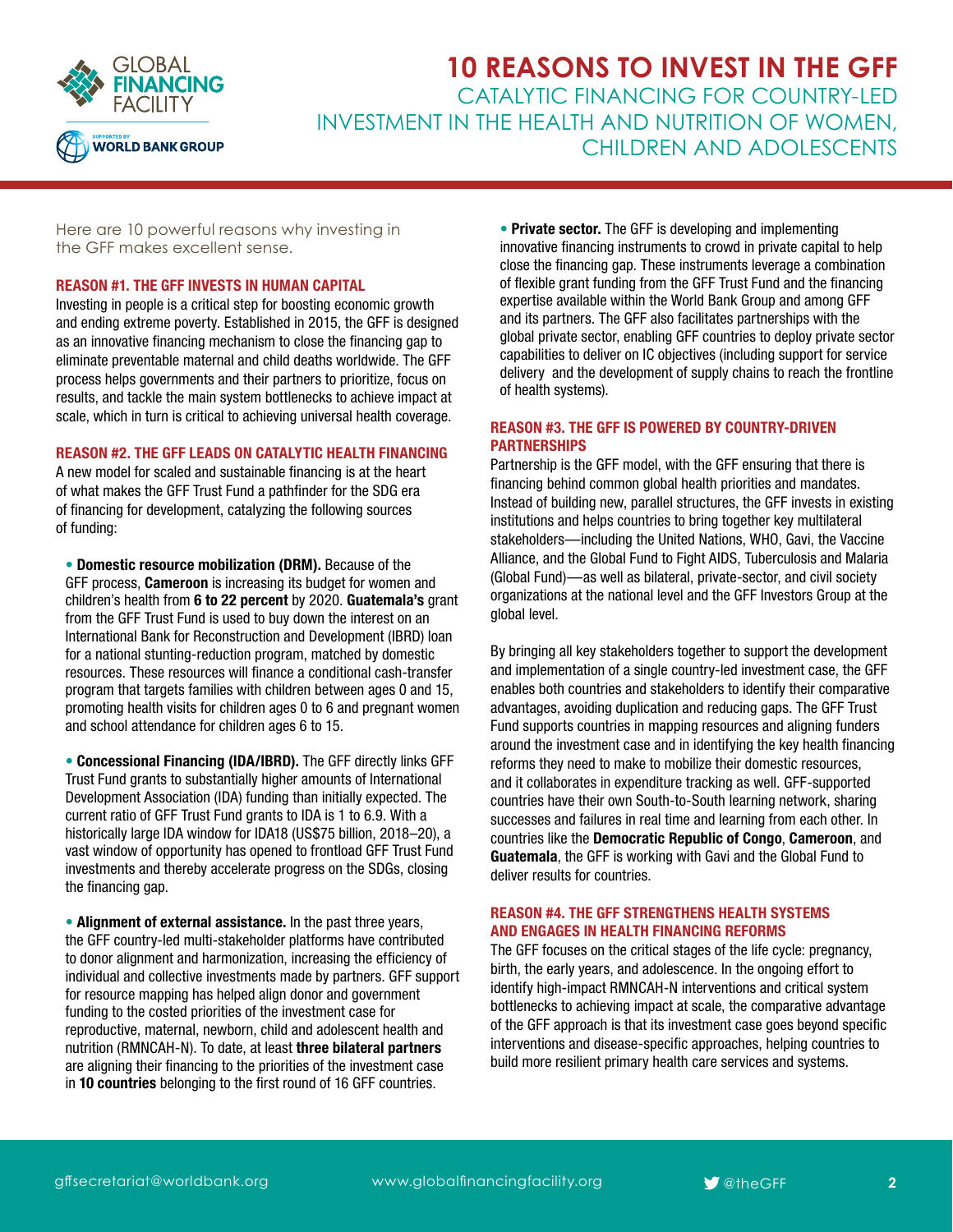

**10 REASONS TO INVEST IN THE GFF** CATALYTIC FINANCING FOR COUNTRY-LED INVESTMENT IN THE HEALTH AND NUTRITION OF WOMEN, CHILDREN AND ADOLESCENTS

Here are 10 powerful reasons why investing in the GFF makes excellent sense.

## REASON #1. THE GFF INVESTS IN HUMAN CAPITAL

Investing in people is a critical step for boosting economic growth and ending extreme poverty. Established in 2015, the GFF is designed as an innovative financing mechanism to close the financing gap to eliminate preventable maternal and child deaths worldwide. The GFF process helps governments and their partners to prioritize, focus on results, and tackle the main system bottlenecks to achieve impact at scale, which in turn is critical to achieving universal health coverage.

#### REASON #2. THE GFF LEADS ON CATALYTIC HEALTH FINANCING

A new model for scaled and sustainable financing is at the heart of what makes the GFF Trust Fund a pathfinder for the SDG era of financing for development, catalyzing the following sources of funding:

• Domestic resource mobilization (DRM). Because of the GFF process, Cameroon is increasing its budget for women and children's health from 6 to 22 percent by 2020. Guatemala's grant from the GFF Trust Fund is used to buy down the interest on an International Bank for Reconstruction and Development (IBRD) loan for a national stunting-reduction program, matched by domestic resources. These resources will finance a conditional cash-transfer program that targets families with children between ages 0 and 15, promoting health visits for children ages 0 to 6 and pregnant women and school attendance for children ages 6 to 15.

• Concessional Financing (IDA/IBRD). The GFF directly links GFF Trust Fund grants to substantially higher amounts of International Development Association (IDA) funding than initially expected. The current ratio of GFF Trust Fund grants to IDA is 1 to 6.9. With a historically large IDA window for IDA18 (US\$75 billion, 2018–20), a vast window of opportunity has opened to frontload GFF Trust Fund investments and thereby accelerate progress on the SDGs, closing the financing gap.

• Alignment of external assistance. In the past three years, the GFF country-led multi-stakeholder platforms have contributed to donor alignment and harmonization, increasing the efficiency of individual and collective investments made by partners. GFF support for resource mapping has helped align donor and government funding to the costed priorities of the investment case for reproductive, maternal, newborn, child and adolescent health and nutrition (RMNCAH-N). To date, at least three bilateral partners are aligning their financing to the priorities of the investment case in 10 countries belonging to the first round of 16 GFF countries.

• Private sector. The GFF is developing and implementing innovative financing instruments to crowd in private capital to help close the financing gap. These instruments leverage a combination of flexible grant funding from the GFF Trust Fund and the financing expertise available within the World Bank Group and among GFF and its partners. The GFF also facilitates partnerships with the global private sector, enabling GFF countries to deploy private sector capabilities to deliver on IC objectives (including support for service delivery and the development of supply chains to reach the frontline of health systems).

## REASON #3. THE GFF IS POWERED BY COUNTRY-DRIVEN PARTNERSHIPS

Partnership is the GFF model, with the GFF ensuring that there is financing behind common global health priorities and mandates. Instead of building new, parallel structures, the GFF invests in existing institutions and helps countries to bring together key multilateral stakeholders—including the United Nations, WHO, Gavi, the Vaccine Alliance, and the Global Fund to Fight AIDS, Tuberculosis and Malaria (Global Fund)—as well as bilateral, private-sector, and civil society organizations at the national level and the GFF Investors Group at the global level.

By bringing all key stakeholders together to support the development and implementation of a single country-led investment case, the GFF enables both countries and stakeholders to identify their comparative advantages, avoiding duplication and reducing gaps. The GFF Trust Fund supports countries in mapping resources and aligning funders around the investment case and in identifying the key health financing reforms they need to make to mobilize their domestic resources, and it collaborates in expenditure tracking as well. GFF-supported countries have their own South-to-South learning network, sharing successes and failures in real time and learning from each other. In countries like the Democratic Republic of Congo, Cameroon, and Guatemala, the GFF is working with Gavi and the Global Fund to deliver results for countries.

## REASON #4. THE GFF STRENGTHENS HEALTH SYSTEMS AND ENGAGES IN HEALTH FINANCING REFORMS

The GFF focuses on the critical stages of the life cycle: pregnancy, birth, the early years, and adolescence. In the ongoing effort to identify high-impact RMNCAH-N interventions and critical system bottlenecks to achieving impact at scale, the comparative advantage of the GFF approach is that its investment case goes beyond specific interventions and disease-specific approaches, helping countries to build more resilient primary health care services and systems.